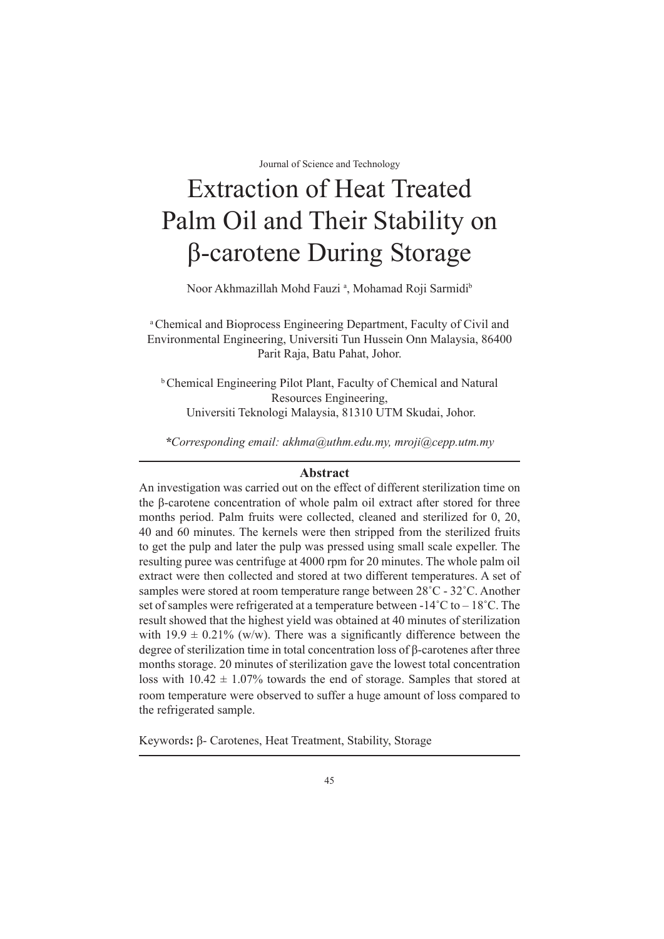# Extraction of Heat Treated Palm Oil and Their Stability on β-carotene During Storage

Noor Akhmazillah Mohd Fauzi<sup>a</sup>, Mohamad Roji Sarmidi<sup>b</sup>

a Chemical and Bioprocess Engineering Department, Faculty of Civil and Environmental Engineering, Universiti Tun Hussein Onn Malaysia, 86400 Parit Raja, Batu Pahat, Johor.

b Chemical Engineering Pilot Plant, Faculty of Chemical and Natural Resources Engineering, Universiti Teknologi Malaysia, 81310 UTM Skudai, Johor.

*\*Corresponding email: akhma@uthm.edu.my, mroji@cepp.utm.my*

# **Abstract**

An investigation was carried out on the effect of different sterilization time on the β-carotene concentration of whole palm oil extract after stored for three months period. Palm fruits were collected, cleaned and sterilized for 0, 20, 40 and 60 minutes. The kernels were then stripped from the sterilized fruits to get the pulp and later the pulp was pressed using small scale expeller. The resulting puree was centrifuge at 4000 rpm for 20 minutes. The whole palm oil extract were then collected and stored at two different temperatures. A set of samples were stored at room temperature range between 28˚C - 32˚C. Another set of samples were refrigerated at a temperature between  $-14^{\circ}C$  to  $-18^{\circ}C$ . The result showed that the highest yield was obtained at 40 minutes of sterilization with  $19.9 \pm 0.21\%$  (w/w). There was a significantly difference between the degree of sterilization time in total concentration loss of β-carotenes after three months storage. 20 minutes of sterilization gave the lowest total concentration loss with  $10.42 \pm 1.07\%$  towards the end of storage. Samples that stored at room temperature were observed to suffer a huge amount of loss compared to the refrigerated sample.

Keywords**:** β- Carotenes, Heat Treatment, Stability, Storage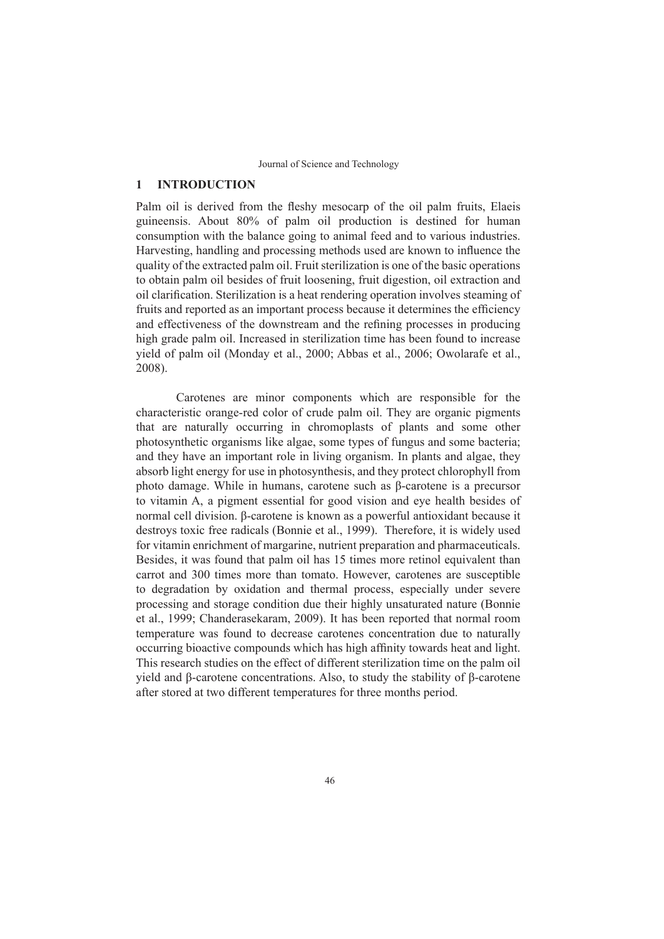## **1 INTRODUCTION**

Palm oil is derived from the fleshy mesocarp of the oil palm fruits, Elaeis guineensis. About 80% of palm oil production is destined for human consumption with the balance going to animal feed and to various industries. Harvesting, handling and processing methods used are known to influence the quality of the extracted palm oil. Fruit sterilization is one of the basic operations to obtain palm oil besides of fruit loosening, fruit digestion, oil extraction and oil clarification. Sterilization is a heat rendering operation involves steaming of fruits and reported as an important process because it determines the efficiency and effectiveness of the downstream and the refining processes in producing high grade palm oil. Increased in sterilization time has been found to increase yield of palm oil (Monday et al., 2000; Abbas et al., 2006; Owolarafe et al., 2008).

Carotenes are minor components which are responsible for the characteristic orange-red color of crude palm oil. They are organic pigments that are naturally occurring in chromoplasts of plants and some other photosynthetic organisms like algae, some types of fungus and some bacteria; and they have an important role in living organism. In plants and algae, they absorb light energy for use in photosynthesis, and they protect chlorophyll from photo damage. While in humans, carotene such as β-carotene is a precursor to vitamin A, a pigment essential for good vision and eye health besides of normal cell division. β-carotene is known as a powerful antioxidant because it destroys toxic free radicals (Bonnie et al., 1999). Therefore, it is widely used for vitamin enrichment of margarine, nutrient preparation and pharmaceuticals. Besides, it was found that palm oil has 15 times more retinol equivalent than carrot and 300 times more than tomato. However, carotenes are susceptible to degradation by oxidation and thermal process, especially under severe processing and storage condition due their highly unsaturated nature (Bonnie et al., 1999; Chanderasekaram, 2009). It has been reported that normal room temperature was found to decrease carotenes concentration due to naturally occurring bioactive compounds which has high affinity towards heat and light. This research studies on the effect of different sterilization time on the palm oil yield and β-carotene concentrations. Also, to study the stability of β-carotene after stored at two different temperatures for three months period.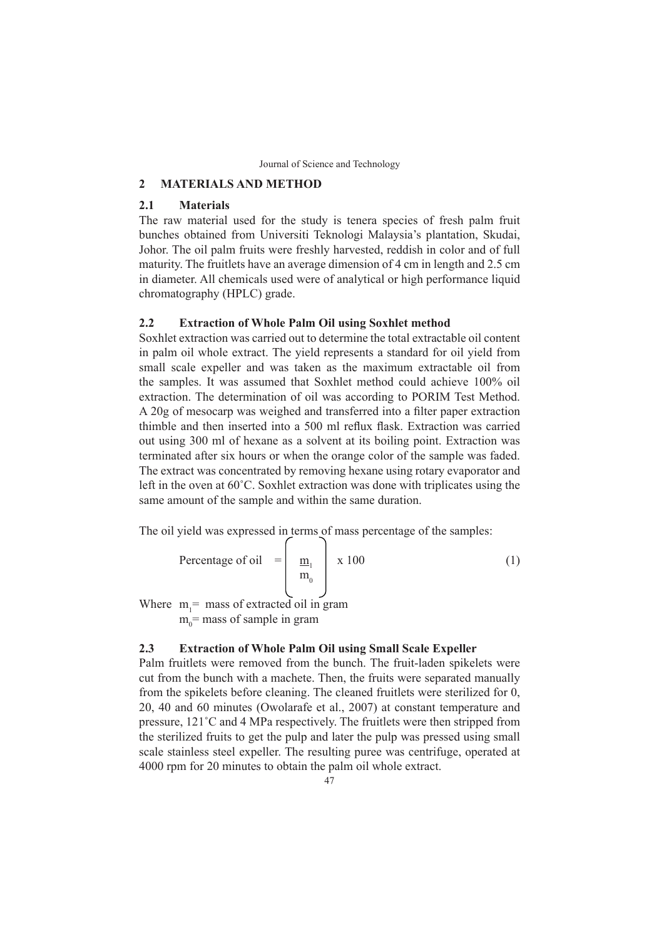## **2 MATERIALS AND METHOD**

## **2.1 Materials**

The raw material used for the study is tenera species of fresh palm fruit bunches obtained from Universiti Teknologi Malaysia's plantation, Skudai, Johor. The oil palm fruits were freshly harvested, reddish in color and of full maturity. The fruitlets have an average dimension of 4 cm in length and 2.5 cm in diameter. All chemicals used were of analytical or high performance liquid chromatography (HPLC) grade.

# **2.2 Extraction of Whole Palm Oil using Soxhlet method**

Soxhlet extraction was carried out to determine the total extractable oil content in palm oil whole extract. The yield represents a standard for oil yield from small scale expeller and was taken as the maximum extractable oil from the samples. It was assumed that Soxhlet method could achieve 100% oil extraction. The determination of oil was according to PORIM Test Method. A 20g of mesocarp was weighed and transferred into a filter paper extraction thimble and then inserted into a 500 ml reflux flask. Extraction was carried out using 300 ml of hexane as a solvent at its boiling point. Extraction was terminated after six hours or when the orange color of the sample was faded. The extract was concentrated by removing hexane using rotary evaporator and left in the oven at 60˚C. Soxhlet extraction was done with triplicates using the same amount of the sample and within the same duration.

The oil yield was expressed in terms of mass percentage of the samples:

Percentage of oil 
$$
=\begin{bmatrix} \frac{m_1}{m_0} \\ m_0 \end{bmatrix}
$$
 x 100 (1)  
Where  $m_1$  = mass of extracted oil in gram

 $m_0$ = mass of sample in gram

Where

## **2.3 Extraction of Whole Palm Oil using Small Scale Expeller**

Palm fruitlets were removed from the bunch. The fruit-laden spikelets were cut from the bunch with a machete. Then, the fruits were separated manually from the spikelets before cleaning. The cleaned fruitlets were sterilized for 0, 20, 40 and 60 minutes (Owolarafe et al., 2007) at constant temperature and pressure, 121˚C and 4 MPa respectively. The fruitlets were then stripped from the sterilized fruits to get the pulp and later the pulp was pressed using small scale stainless steel expeller. The resulting puree was centrifuge, operated at 4000 rpm for 20 minutes to obtain the palm oil whole extract.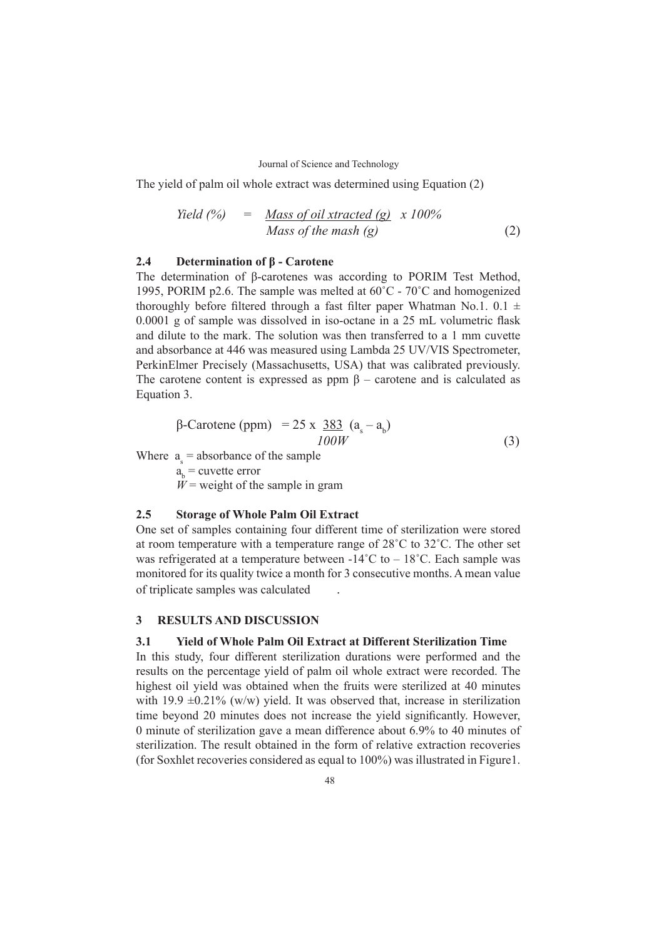The yield of palm oil whole extract was determined using Equation (2)

$$
Yield (%) = Mass of oil \,xtracted (g) \,x \,100\%
$$
\n
$$
Mass of the \,mask(g) \tag{2}
$$

## **2.4 Determination of β - Carotene**

The determination of β-carotenes was according to PORIM Test Method, 1995, PORIM p2.6. The sample was melted at 60˚C - 70˚C and homogenized thoroughly before filtered through a fast filter paper Whatman No.1.  $0.1 \pm$ 0.0001 g of sample was dissolved in iso-octane in a 25 mL volumetric flask and dilute to the mark. The solution was then transferred to a 1 mm cuvette and absorbance at 446 was measured using Lambda 25 UV/VIS Spectrometer, PerkinElmer Precisely (Massachusetts, USA) that was calibrated previously. The carotene content is expressed as ppm  $\beta$  – carotene and is calculated as Equation 3.

$$
\beta\text{-}\text{Carotene (ppm)} = 25 \times \frac{383}{100W} (a_s - a_b) \tag{3}
$$

Where  $a_{s}$  = absorbance of the sample

 $a<sub>b</sub>$  = cuvette error

 $W =$  weight of the sample in gram

## **2.5 Storage of Whole Palm Oil Extract**

One set of samples containing four different time of sterilization were stored at room temperature with a temperature range of 28˚C to 32˚C. The other set was refrigerated at a temperature between  $-14^{\circ}$ C to  $-18^{\circ}$ C. Each sample was monitored for its quality twice a month for 3 consecutive months. A mean value of triplicate samples was calculated .

## **3 RESULTS AND DISCUSSION**

# **3.1 Yield of Whole Palm Oil Extract at Different Sterilization Time**

In this study, four different sterilization durations were performed and the results on the percentage yield of palm oil whole extract were recorded. The highest oil yield was obtained when the fruits were sterilized at 40 minutes with 19.9  $\pm$ 0.21% (w/w) yield. It was observed that, increase in sterilization time beyond 20 minutes does not increase the yield significantly. However, 0 minute of sterilization gave a mean difference about 6.9% to 40 minutes of sterilization. The result obtained in the form of relative extraction recoveries (for Soxhlet recoveries considered as equal to 100%) was illustrated in Figure1.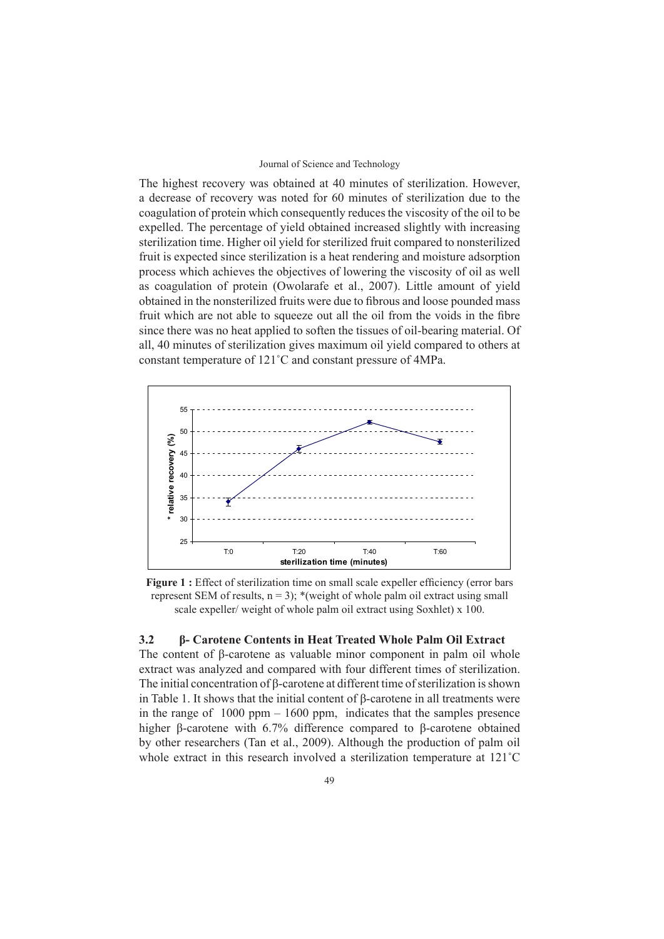The highest recovery was obtained at 40 minutes of sterilization. However, a decrease of recovery was noted for 60 minutes of sterilization due to the coagulation of protein which consequently reduces the viscosity of the oil to be expelled. The percentage of yield obtained increased slightly with increasing sterilization time. Higher oil yield for sterilized fruit compared to nonsterilized fruit is expected since sterilization is a heat rendering and moisture adsorption process which achieves the objectives of lowering the viscosity of oil as well as coagulation of protein (Owolarafe et al., 2007). Little amount of yield obtained in the nonsterilized fruits were due to fibrous and loose pounded mass fruit which are not able to squeeze out all the oil from the voids in the fibre since there was no heat applied to soften the tissues of oil-bearing material. Of all, 40 minutes of sterilization gives maximum oil yield compared to others at constant temperature of 121˚C and constant pressure of 4MPa.



**Figure 1 :** Effect of sterilization time on small scale expeller efficiency (error bars represent SEM of results,  $n = 3$ ); \*(weight of whole palm oil extract using small scale expeller/ weight of whole palm oil extract using Soxhlet) x 100.

# **3.2 β- Carotene Contents in Heat Treated Whole Palm Oil Extract**

The content of β-carotene as valuable minor component in palm oil whole extract was analyzed and compared with four different times of sterilization. The initial concentration of β-carotene at different time of sterilization is shown in Table 1. It shows that the initial content of β-carotene in all treatments were in the range of  $1000$  ppm  $-1600$  ppm, indicates that the samples presence higher β-carotene with 6.7% difference compared to β-carotene obtained by other researchers (Tan et al., 2009). Although the production of palm oil whole extract in this research involved a sterilization temperature at 121˚C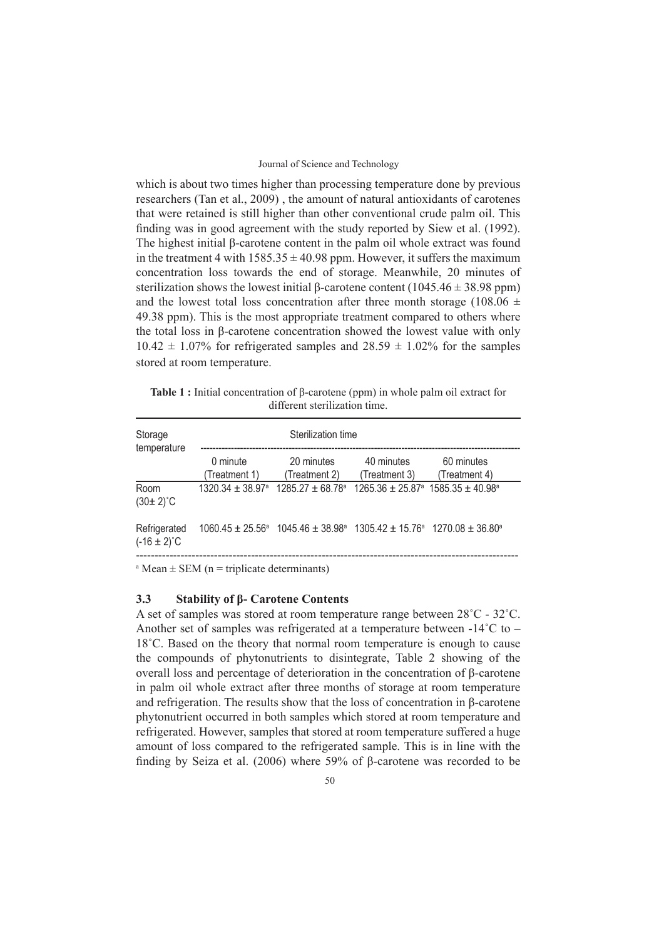which is about two times higher than processing temperature done by previous researchers (Tan et al., 2009) , the amount of natural antioxidants of carotenes that were retained is still higher than other conventional crude palm oil. This finding was in good agreement with the study reported by Siew et al. (1992). The highest initial β-carotene content in the palm oil whole extract was found in the treatment 4 with  $1585.35 \pm 40.98$  ppm. However, it suffers the maximum concentration loss towards the end of storage. Meanwhile, 20 minutes of sterilization shows the lowest initial β-carotene content (1045.46  $\pm$  38.98 ppm) and the lowest total loss concentration after three month storage (108.06  $\pm$ 49.38 ppm). This is the most appropriate treatment compared to others where the total loss in β-carotene concentration showed the lowest value with only  $10.42 \pm 1.07\%$  for refrigerated samples and  $28.59 \pm 1.02\%$  for the samples stored at room temperature.

**Table 1 :** Initial concentration of β-carotene (ppm) in whole palm oil extract for different sterilization time.

| Storage<br>temperature           | Sterilization time        |                                                                                                                                |                             |                             |  |
|----------------------------------|---------------------------|--------------------------------------------------------------------------------------------------------------------------------|-----------------------------|-----------------------------|--|
|                                  | 0 minute<br>(Treatment 1) | 20 minutes<br>(Treatment 2)                                                                                                    | 40 minutes<br>(Treatment 3) | 60 minutes<br>(Treatment 4) |  |
| Room<br>$(30 \pm 2)$ °C          |                           | $1320.34 + 38.97$ <sup>a</sup> $1285.27 + 68.78$ <sup>a</sup> $1265.36 + 25.87$ <sup>a</sup> $1585.35 + 40.98$ <sup>a</sup>    |                             |                             |  |
| Refrigerated<br>$(-16 \pm 2)$ °C |                           | $1060.45 \pm 25.56^{\circ}$ 1045.46 $\pm$ 38.98 <sup>°</sup> 1305.42 $\pm$ 15.76 <sup>°</sup> 1270.08 $\pm$ 36.80 <sup>°</sup> |                             |                             |  |

 $A<sup>a</sup>$  Mean  $\pm$  SEM (n = triplicate determinants)

## **3.3 Stability of β- Carotene Contents**

A set of samples was stored at room temperature range between 28˚C - 32˚C. Another set of samples was refrigerated at a temperature between -14˚C to – 18˚C. Based on the theory that normal room temperature is enough to cause the compounds of phytonutrients to disintegrate, Table 2 showing of the overall loss and percentage of deterioration in the concentration of β-carotene in palm oil whole extract after three months of storage at room temperature and refrigeration. The results show that the loss of concentration in β-carotene phytonutrient occurred in both samples which stored at room temperature and refrigerated. However, samples that stored at room temperature suffered a huge amount of loss compared to the refrigerated sample. This is in line with the finding by Seiza et al. (2006) where 59% of β-carotene was recorded to be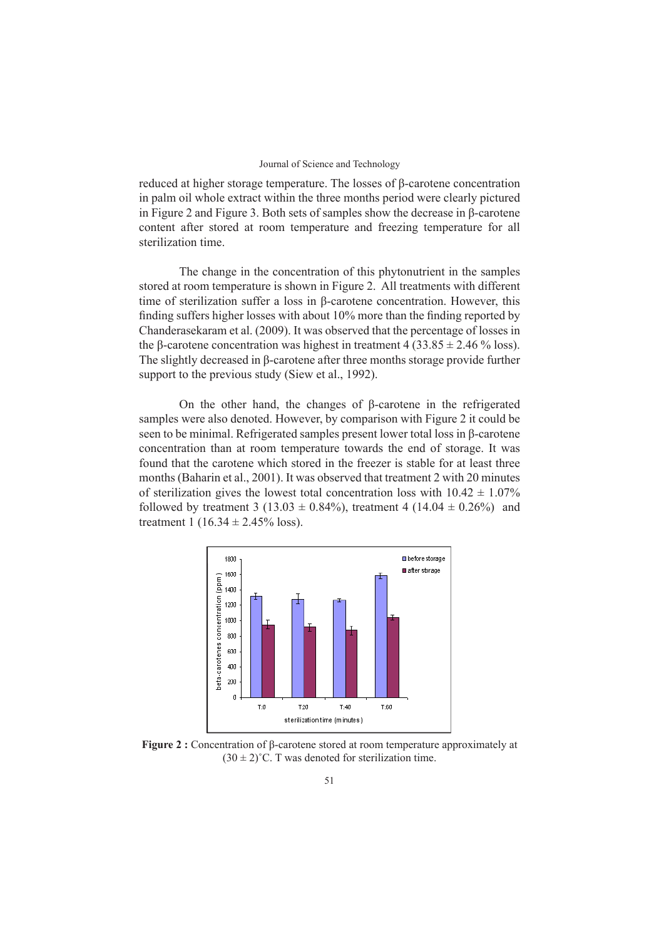reduced at higher storage temperature. The losses of β-carotene concentration in palm oil whole extract within the three months period were clearly pictured in Figure 2 and Figure 3. Both sets of samples show the decrease in β-carotene content after stored at room temperature and freezing temperature for all sterilization time.

The change in the concentration of this phytonutrient in the samples stored at room temperature is shown in Figure 2. All treatments with different time of sterilization suffer a loss in β-carotene concentration. However, this finding suffers higher losses with about 10% more than the finding reported by Chanderasekaram et al. (2009). It was observed that the percentage of losses in the β-carotene concentration was highest in treatment 4 (33.85  $\pm$  2.46 % loss). The slightly decreased in β-carotene after three months storage provide further support to the previous study (Siew et al., 1992).

On the other hand, the changes of β-carotene in the refrigerated samples were also denoted. However, by comparison with Figure 2 it could be seen to be minimal. Refrigerated samples present lower total loss in β-carotene concentration than at room temperature towards the end of storage. It was found that the carotene which stored in the freezer is stable for at least three months (Baharin et al., 2001). It was observed that treatment 2 with 20 minutes of sterilization gives the lowest total concentration loss with  $10.42 \pm 1.07\%$ followed by treatment 3 (13.03  $\pm$  0.84%), treatment 4 (14.04  $\pm$  0.26%) and treatment 1 (16.34  $\pm$  2.45% loss).



**Figure 2 :** Concentration of β-carotene stored at room temperature approximately at  $(30 \pm 2)$ °C. T was denoted for sterilization time.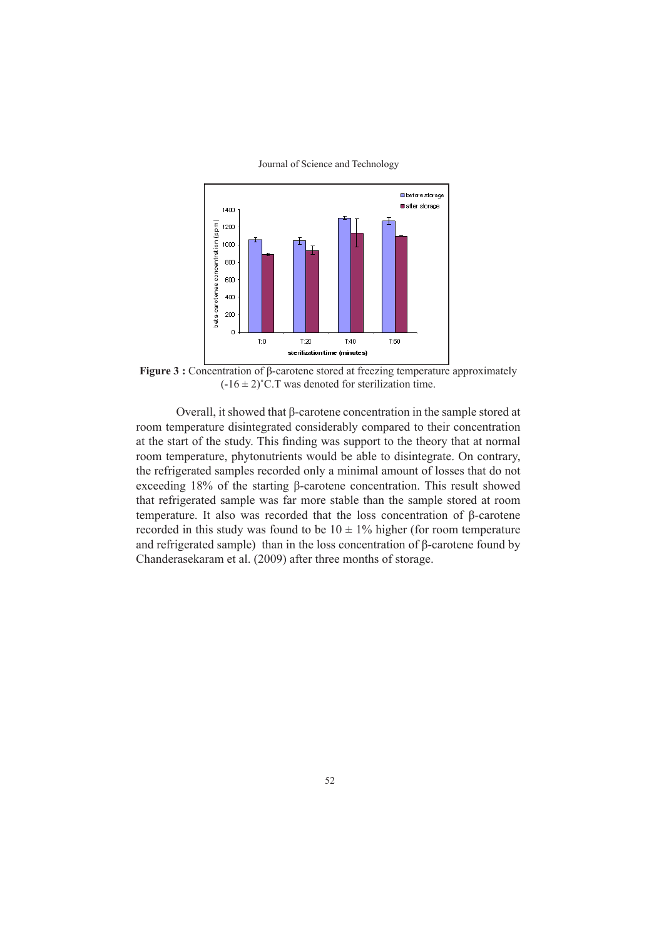

**Figure 3 :** Concentration of β-carotene stored at freezing temperature approximately  $(-16 \pm 2)$ °C.T was denoted for sterilization time.

Overall, it showed that β-carotene concentration in the sample stored at room temperature disintegrated considerably compared to their concentration at the start of the study. This finding was support to the theory that at normal room temperature, phytonutrients would be able to disintegrate. On contrary, the refrigerated samples recorded only a minimal amount of losses that do not exceeding 18% of the starting β-carotene concentration. This result showed that refrigerated sample was far more stable than the sample stored at room temperature. It also was recorded that the loss concentration of β-carotene recorded in this study was found to be  $10 \pm 1\%$  higher (for room temperature and refrigerated sample) than in the loss concentration of β-carotene found by Chanderasekaram et al. (2009) after three months of storage.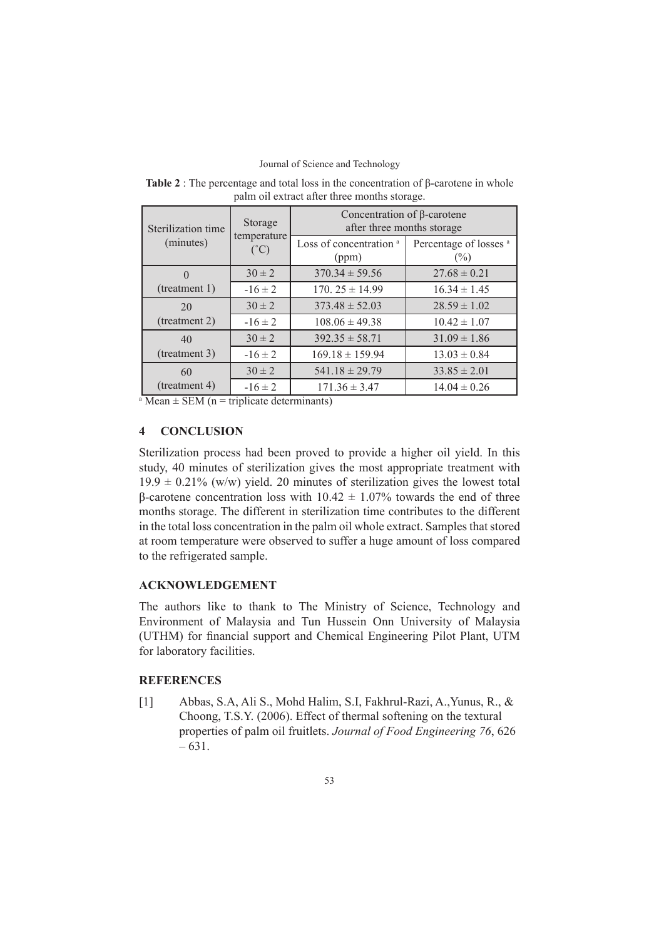| Sterilization time | Storage<br>temperature<br>$({}^{\circ}C)$ | Concentration of $\beta$ -carotene<br>after three months storage |                                             |  |
|--------------------|-------------------------------------------|------------------------------------------------------------------|---------------------------------------------|--|
| (minutes)          |                                           | Loss of concentration <sup>a</sup><br>(ppm)                      | Percentage of losses <sup>a</sup><br>$(\%)$ |  |
|                    | $30 \pm 2$                                | $370.34 \pm 59.56$                                               | $27.68 \pm 0.21$                            |  |
| (treatment 1)      | $-16 \pm 2$                               | $170.25 \pm 14.99$                                               | $16.34 \pm 1.45$                            |  |
| 20                 | $30 \pm 2$                                | $373.48 \pm 52.03$                                               | $28.59 \pm 1.02$                            |  |
| (treatment 2)      | $-16 \pm 2$                               | $108.06 \pm 49.38$                                               | $10.42 \pm 1.07$                            |  |
| 40                 | $30 \pm 2$                                | $392.35 \pm 58.71$                                               | $31.09 \pm 1.86$                            |  |
| (treatment 3)      | $-16 \pm 2$                               | $169.18 \pm 159.94$                                              | $13.03 \pm 0.84$                            |  |
| 60                 | $30 \pm 2$                                | $541.18 \pm 29.79$                                               | $33.85 \pm 2.01$                            |  |
| (treatment 4)      | $-16 \pm 2$                               | $171.36 \pm 3.47$                                                | $14.04 \pm 0.26$                            |  |

**Table 2** : The percentage and total loss in the concentration of β-carotene in whole palm oil extract after three months storage.

 $A<sup>a</sup>$  Mean  $\pm$  SEM (n = triplicate determinants)

## **4 CONCLUSION**

Sterilization process had been proved to provide a higher oil yield. In this study, 40 minutes of sterilization gives the most appropriate treatment with  $19.9 \pm 0.21\%$  (w/w) yield. 20 minutes of sterilization gives the lowest total β-carotene concentration loss with  $10.42 \pm 1.07\%$  towards the end of three months storage. The different in sterilization time contributes to the different in the total loss concentration in the palm oil whole extract. Samples that stored at room temperature were observed to suffer a huge amount of loss compared to the refrigerated sample.

## **ACKNOWLEDGEMENT**

The authors like to thank to The Ministry of Science, Technology and Environment of Malaysia and Tun Hussein Onn University of Malaysia (UTHM) for financial support and Chemical Engineering Pilot Plant, UTM for laboratory facilities.

## **REFERENCES**

[1] Abbas, S.A, Ali S., Mohd Halim, S.I, Fakhrul-Razi, A.,Yunus, R., & Choong, T.S.Y. (2006). Effect of thermal softening on the textural properties of palm oil fruitlets. *Journal of Food Engineering 76*, 626 – 631.